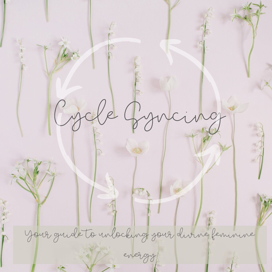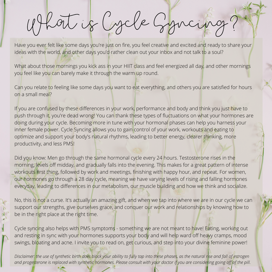What is Cycle Syncing?

Have you ever felt like some days you're just on fire, you feel creative and excited and ready to share your ideas with the world, and other days you'd rather clean out your inbox and not talk to a soul?

What about those mornings you kick ass in your HIIT class and feel energized all day, and other mornings you feel like you can barely make it through the warm up round.

Can you relate to feeling like some days you want to eat everything, and others you are satisfied for hours on a small meal?

If you are confused by these differences in your work, performance and body and think you just have to push through it, you're dead wrong! You can thank these types of fluctuations on what your hormones are doing during your cycle. Becoming more in tune with your hormonal phases can help you harness your inner female power. Cycle Syncing allows you to gain control of your work, workouts and eating to optimize and support your body's natural rhythms, leading to better energy, clearer thinking, more productivity, and less PMS!

Did you know: Men go through the same hormonal cycle every 24 hours. Testosterone rises in the morning, levels off midday, and gradually falls into the evening. This makes for a great pattern of intense workouts first thing, followed by work and meetings, finishing with happy hour, and repeat. For women, our hormones go through a 28 day cycle, meaning we have varying levels of rising and falling hormones everyday, leading to differences in our metabolism, our muscle building and how we think and socialize.

No, this is not a curse. It's actually an amazing gift, and when we tap into where we are in our cycle we can support our strengths, give ourselves grace, and conquer our work and relationships by knowing how to be in the right place at the right time.

Cycle syncing also helps with PMS symptoms - something we are not meant to have! Eating, working out and resting in sync with your hormones supports your body and will help ward off heavy cramps, mood swings, bloating and acne. I invite you to read on, get curious, and step into your divine feminine power!

Disclaimer: the use of synthetic birth does block your ability to fully tap into these phases, as the natural rise and fall of estrogen and progesterone is replaced with synthetic hormones. Please consult with your doctor if you are considering going off of the pill.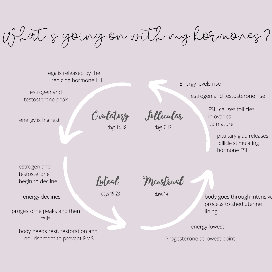What' s going on with my hormones?

egg is released by the lutenizing hormone LH

estrogen and testosterone peak

energy is highest

days14-18 days7-13

Energy levels rise

estrogen and testosterone rise

Ovulatory Follicular

FSH causes follicles in ovaries to mature

> pituitary glad releases follicle stimulating hormone FSH

estrogen and testosterone begin to decline

Luteal

days19-28

Menstrual

days1-6

progestorne peaks and then falls

energy declines

body needs rest, restoration and nourishment to prevent PMS

body goes through intensive process to shed uterine lining

energy lowest

Progesterone at lowest point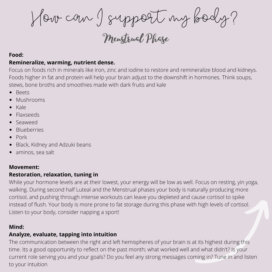How can I support my body?

Menstrual Phase

#### **Food:**

## **Remineralize, warming, nutrient dense.**

Focus on foods rich in minerals like iron, zinc and iodine to restore and remineralize blood and kidneys. Foods higher in fat and protein will help your brain adjust to the downshift in hormones. Think soups, stews, bone broths and smoothies made with dark fruits and kale

- Beets
- Mushrooms
- Kale  $\bullet$
- Flaxseeds
- Seaweed
- Blueberries
- Pork
- Black, Kidney and Adzuki beans
- aminos, sea salt

### **Movement:**

## **Restoration, relaxation, tuning in**

While your hormone levels are at their lowest, your energy will be low as well. Focus on resting, yin yoga, walking. During second half Luteal and the Menstrual phases your body is naturally producing more cortisol, and pushing through intense workouts can leave you depleted and cause cortisol to spike instead of flush. Your body is more prone to fat storage during this phase with high levels of cortisol. Listen to your body, consider napping a sport!

## **Mind:**

## **Analyze, evaluate, tapping into intuition**

The communication between the right and left hemispheres of your brain is at its highest during this time. Its a good opportunity to reflect on the past month; what worked well and what didn't? Is your current role serving you and your goals? Do you feel any strong messages coming in? Tune in and listen to your intuition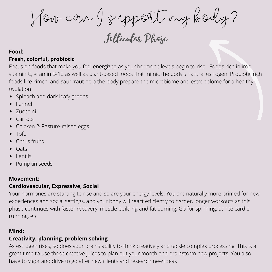How can I support my body?

Follicular Phase

#### **Food: Fresh, colorful, probiotic**

Focus on foods that make you feel energized as your hormone levels begin to rise. Foods rich in iron, vitamin C, vitamin B-12 as well as plant-based foods that mimic the body's natural estrogen. Probiotic rich foods like kimchi and saurkraut help the body prepare the microbiome and estrobolome for a healthy ovulation

- Spinach and dark leafy greens
- Fennel
- Zucchini
- Carrots
- Chicken & Pasture-raised eggs
- Tofu
- Citrus fruits
- **Oats**
- Lentils
- Pumpkin seeds

# **Movement:**

# **Cardiovascular, Expressive, Social**

Your hormones are starting to rise and so are your energy levels. You are naturally more primed for new experiences and social settings, and your body will react efficiently to harder, longer workouts as this phase continues with faster recovery, muscle building and fat burning. Go for spinning, dance cardio, running, etc

## **Mind:**

# **Creativity, planning, problem solving**

As estrogen rises, so does your brains ability to think creatively and tackle complex processing. This is a great time to use these creative juices to plan out your month and brainstorm new projects. You also have to vigor and drive to go after new clients and research new ideas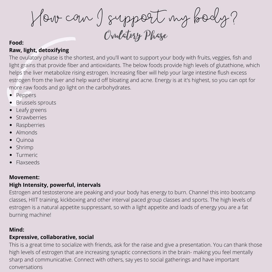How can I support my body? Ovulatory Phase

#### **Food:**

### **Raw, light, detoxifying**

The ovulatory phase is the shortest, and you'll want to support your body with fruits, veggies, fish and light grains that provide fiber and antioxidants. The below foods provide high levels of glutathione, which helps the liver metabolize rising estrogen. Increasing fiber will help your large intestine flush excess estrogen from the liver and help ward off bloating and acne. Energy is at it's highest, so you can opt for more raw foods and go light on the carbohydrates.

- Peppers
- Brussels sprouts  $\bullet$
- Leafy greens
- Strawberries
- Raspberries
- Almonds
- Quinoa
- Shrimp
- Turmeric
- Flaxseeds

# **Movement:**

#### **High Intensity, powerful, intervals**

Estrogen and testosterone are peaking and your body has energy to burn. Channel this into bootcamp classes, HIIT training, kickboxing and other interval paced group classes and sports. The high levels of estrogen is a natural appetite suppressant, so with a light appetite and loads of energy you are a fat burning machine!

### **Mind:**

## **Expressive, collaborative, social**

This is a great time to socialize with friends, ask for the raise and give a presentation. You can thank those high levels of estrogen that are increasing synaptic connections in the brain- making you feel mentally sharp and communicative. Connect with others, say yes to social gatherings and have important conversations